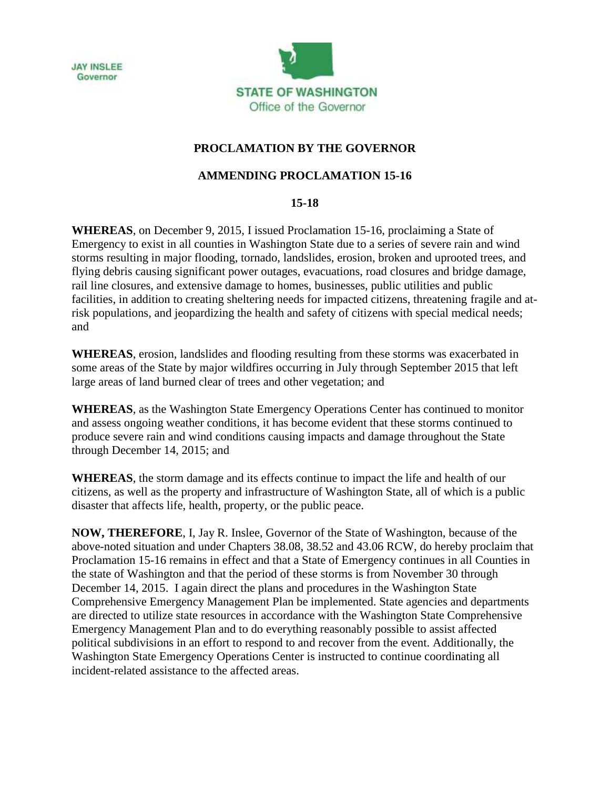



## **PROCLAMATION BY THE GOVERNOR**

## **AMMENDING PROCLAMATION 15-16**

## **15-18**

**WHEREAS**, on December 9, 2015, I issued Proclamation 15-16, proclaiming a State of Emergency to exist in all counties in Washington State due to a series of severe rain and wind storms resulting in major flooding, tornado, landslides, erosion, broken and uprooted trees, and flying debris causing significant power outages, evacuations, road closures and bridge damage, rail line closures, and extensive damage to homes, businesses, public utilities and public facilities, in addition to creating sheltering needs for impacted citizens, threatening fragile and atrisk populations, and jeopardizing the health and safety of citizens with special medical needs; and

**WHEREAS**, erosion, landslides and flooding resulting from these storms was exacerbated in some areas of the State by major wildfires occurring in July through September 2015 that left large areas of land burned clear of trees and other vegetation; and

**WHEREAS**, as the Washington State Emergency Operations Center has continued to monitor and assess ongoing weather conditions, it has become evident that these storms continued to produce severe rain and wind conditions causing impacts and damage throughout the State through December 14, 2015; and

**WHEREAS**, the storm damage and its effects continue to impact the life and health of our citizens, as well as the property and infrastructure of Washington State, all of which is a public disaster that affects life, health, property, or the public peace.

**NOW, THEREFORE**, I, Jay R. Inslee, Governor of the State of Washington, because of the above-noted situation and under Chapters 38.08, 38.52 and 43.06 RCW, do hereby proclaim that Proclamation 15-16 remains in effect and that a State of Emergency continues in all Counties in the state of Washington and that the period of these storms is from November 30 through December 14, 2015. I again direct the plans and procedures in the Washington State Comprehensive Emergency Management Plan be implemented. State agencies and departments are directed to utilize state resources in accordance with the Washington State Comprehensive Emergency Management Plan and to do everything reasonably possible to assist affected political subdivisions in an effort to respond to and recover from the event. Additionally, the Washington State Emergency Operations Center is instructed to continue coordinating all incident-related assistance to the affected areas.